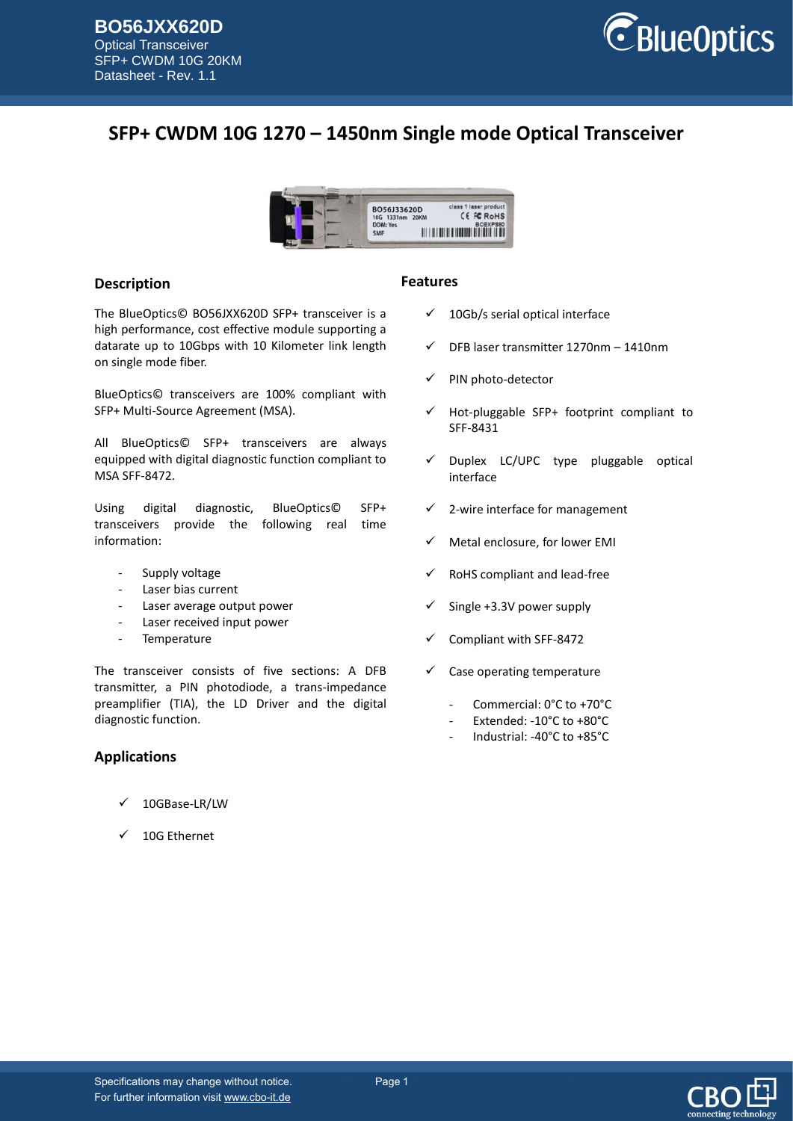

## **SFP+ CWDM 10G 1270 – 1450nm Single mode Optical Transceiver**



### **Description**

The BlueOptics© BO56JXX620D SFP+ transceiver is a high performance, cost effective module supporting a datarate up to 10Gbps with 10 Kilometer link length on single mode fiber.

BlueOptics© transceivers are 100% compliant with SFP+ Multi-Source Agreement (MSA).

All BlueOptics© SFP+ transceivers are always equipped with digital diagnostic function compliant to MSA SFF-8472.

Using digital diagnostic, BlueOptics© SFP+ transceivers provide the following real time information:

- Supply voltage
- Laser bias current
- Laser average output power
- Laser received input power
- Temperature

The transceiver consists of five sections: A DFB transmitter, a PIN photodiode, a trans-impedance preamplifier (TIA), the LD Driver and the digital diagnostic function.

### **Applications**

- 10GBase-LR/LW
- 10G Ethernet

#### **Features**

- $\checkmark$  10Gb/s serial optical interface
- $\checkmark$  DFB laser transmitter 1270nm 1410nm
- PIN photo-detector
- Hot-pluggable SFP+ footprint compliant to SFF-8431
- Duplex LC/UPC type pluggable optical interface
- $\checkmark$  2-wire interface for management
- $\checkmark$  Metal enclosure, for lower EMI
- $\checkmark$  RoHS compliant and lead-free
- Single +3.3V power supply
- Compliant with SFF-8472
- Case operating temperature
	- Commercial: 0°C to +70°C
	- Extended: -10°C to +80°C
	- Industrial: -40°C to +85°C

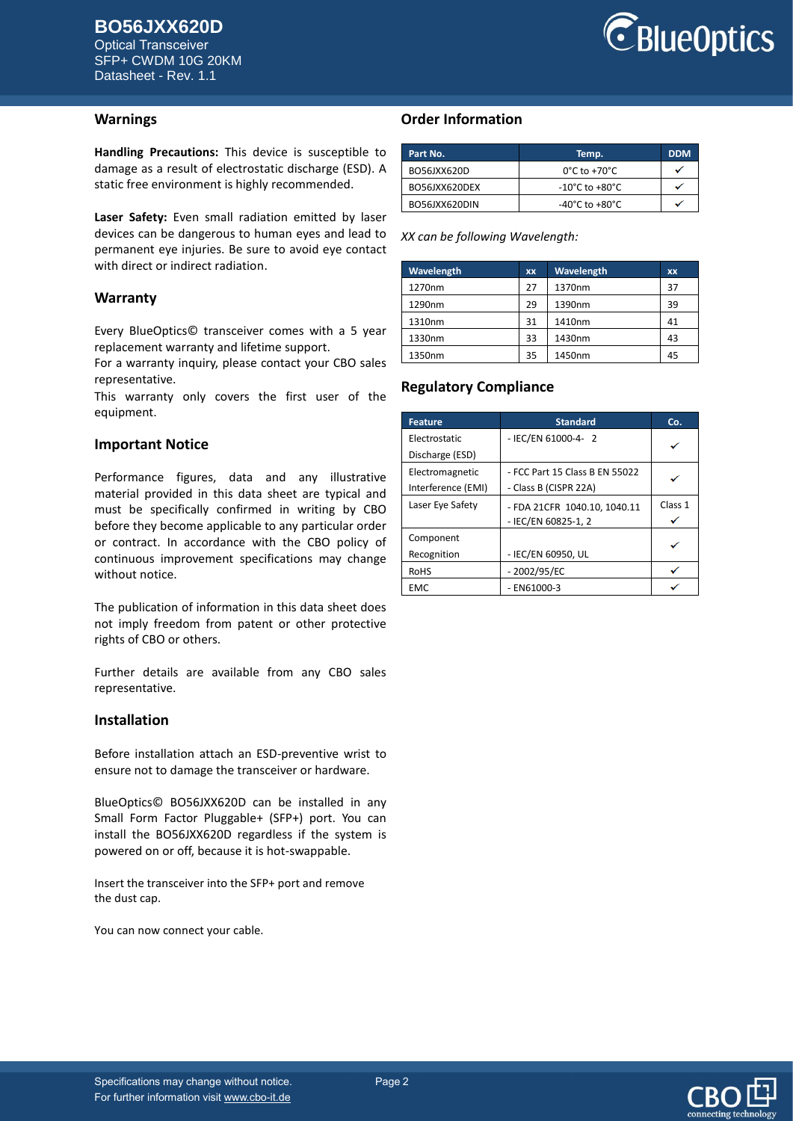Optical Transceiver SFP+ CWDM 10G 20KM Datasheet - Rev. 1.1



#### **Warnings**

**Handling Precautions:** This device is susceptible to damage as a result of electrostatic discharge (ESD). A static free environment is highly recommended.

**Laser Safety:** Even small radiation emitted by laser devices can be dangerous to human eyes and lead to permanent eye injuries. Be sure to avoid eye contact with direct or indirect radiation.

#### **Warranty**

Every BlueOptics© transceiver comes with a 5 year replacement warranty and lifetime support.

For a warranty inquiry, please contact your CBO sales representative.

This warranty only covers the first user of the equipment.

#### **Important Notice**

Performance figures, data and any illustrative material provided in this data sheet are typical and must be specifically confirmed in writing by CBO before they become applicable to any particular order or contract. In accordance with the CBO policy of continuous improvement specifications may change without notice.

The publication of information in this data sheet does not imply freedom from patent or other protective rights of CBO or others.

Further details are available from any CBO sales representative.

#### **Installation**

Before installation attach an ESD-preventive wrist to ensure not to damage the transceiver or hardware.

BlueOptics© BO56JXX620D can be installed in any Small Form Factor Pluggable+ (SFP+) port. You can install the BO56JXX620D regardless if the system is powered on or off, because it is hot-swappable.

Insert the transceiver into the SFP+ port and remove the dust cap.

You can now connect your cable.

### **Order Information**

| Part No.      | Temp.                              | <b>DDM</b> |
|---------------|------------------------------------|------------|
| BO56JXX620D   | $0^{\circ}$ C to +70 $^{\circ}$ C  |            |
| BO56JXX620DEX | $-10^{\circ}$ C to $+80^{\circ}$ C |            |
| BO56JXX620DIN | $-40^{\circ}$ C to $+80^{\circ}$ C |            |

*XX can be following Wavelength:*

| <b>Wavelength</b> | <b>XX</b> | <b>Wavelength</b> | XX |
|-------------------|-----------|-------------------|----|
| 1270nm            | 27        | 1370nm            | 37 |
| 1290nm            | 29        | 1390nm            | 39 |
| 1310nm            | 31        | 1410nm            | 41 |
| 1330nm            | 33        | 1430nm            | 43 |
| 1350nm            | 35        | 1450nm            | 45 |

#### **Regulatory Compliance**

| <b>Feature</b>     | <b>Standard</b>                | Co.     |
|--------------------|--------------------------------|---------|
| Electrostatic      | - IEC/EN 61000-4- 2            |         |
| Discharge (ESD)    |                                |         |
| Electromagnetic    | - FCC Part 15 Class B EN 55022 |         |
| Interference (EMI) | - Class B (CISPR 22A)          |         |
| Laser Eye Safety   | - FDA 21CFR 1040.10, 1040.11   | Class 1 |
|                    | - IEC/EN 60825-1, 2            |         |
| Component          |                                |         |
| Recognition        | - IEC/EN 60950, UL             |         |
| <b>RoHS</b>        | $-2002/95/EC$                  |         |
| <b>EMC</b>         | $-$ EN61000-3                  |         |

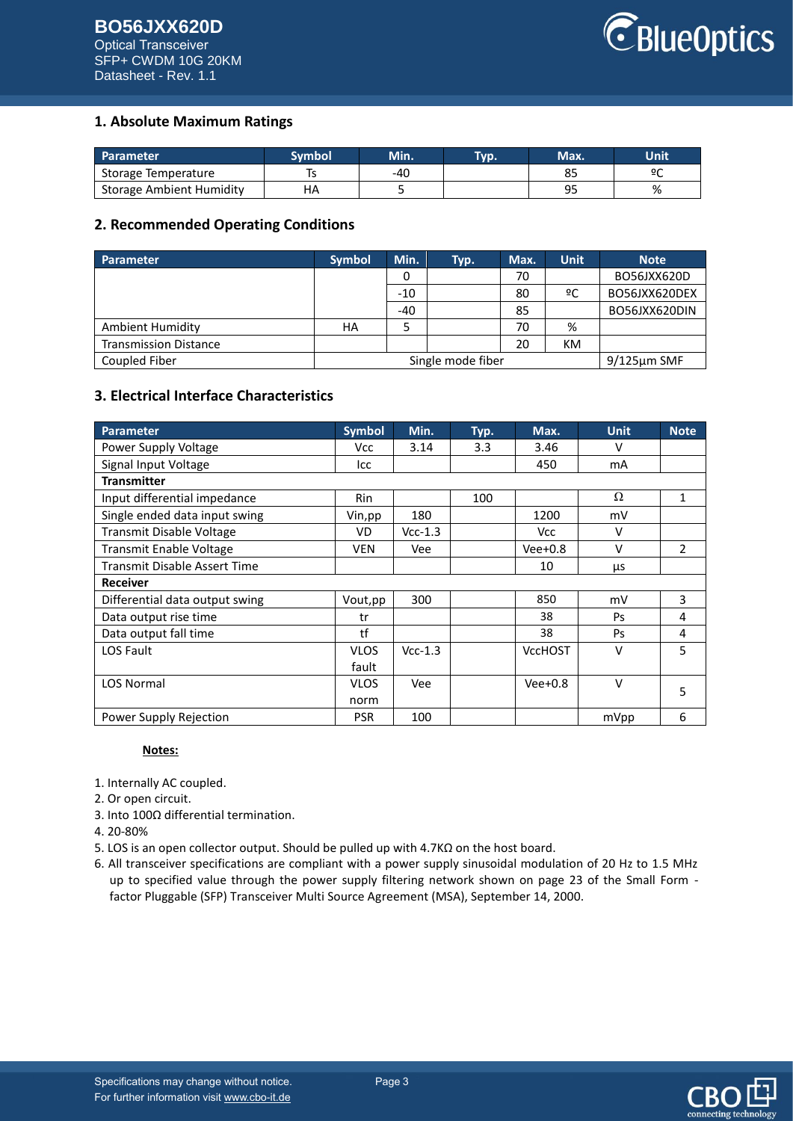# **BO56JXX620D** Optical Transceiver

SFP+ CWDM 10G 20KM Datasheet - Rev. 1.1



## **1. Absolute Maximum Ratings**

| Parameter                | Svmbol | Min. | Tvp. | Max.           | Unit |
|--------------------------|--------|------|------|----------------|------|
| Storage Temperature      |        | -40  |      | ບ_             | ٥C   |
| Storage Ambient Humidity | НA     |      |      | ۵r<br><u>.</u> | %    |

## **2. Recommended Operating Conditions**

| Parameter                    | <b>Symbol</b>     | Min.  | Typ. | Max. | <b>Unit</b> | <b>Note</b>       |
|------------------------------|-------------------|-------|------|------|-------------|-------------------|
|                              |                   | 0     |      | 70   |             | BO56JXX620D       |
|                              |                   | $-10$ |      | 80   | ºC          | BO56JXX620DEX     |
|                              |                   | $-40$ |      | 85   |             | BO56JXX620DIN     |
| Ambient Humidity             | НA                |       |      | 70   | %           |                   |
| <b>Transmission Distance</b> |                   |       |      | 20   | KM          |                   |
| Coupled Fiber                | Single mode fiber |       |      |      |             | $9/125 \mu m$ SMF |

## **3. Electrical Interface Characteristics**

| Parameter                      | <b>Symbol</b> | Min.      | Typ. | Max.           | <b>Unit</b> | <b>Note</b>    |
|--------------------------------|---------------|-----------|------|----------------|-------------|----------------|
| Power Supply Voltage           | <b>Vcc</b>    | 3.14      | 3.3  | 3.46           | v           |                |
| Signal Input Voltage           | lcc           |           |      | 450            | mA          |                |
| <b>Transmitter</b>             |               |           |      |                |             |                |
| Input differential impedance   | <b>Rin</b>    |           | 100  |                | Ω           | $\mathbf{1}$   |
| Single ended data input swing  | Vin,pp        | 180       |      | 1200           | mV          |                |
| Transmit Disable Voltage       | VD.           | $Vcc-1.3$ |      | <b>Vcc</b>     | v           |                |
| Transmit Enable Voltage        | <b>VEN</b>    | Vee       |      | $Vee+0.8$      | $\vee$      | $\overline{2}$ |
| Transmit Disable Assert Time   |               |           |      | 10             | μs          |                |
| <b>Receiver</b>                |               |           |      |                |             |                |
| Differential data output swing | Vout,pp       | 300       |      | 850            | mV          | 3              |
| Data output rise time          | tr            |           |      | 38             | <b>Ps</b>   | 4              |
| Data output fall time          | tf            |           |      | 38             | <b>Ps</b>   | 4              |
| <b>LOS Fault</b>               | <b>VLOS</b>   | $Vcc-1.3$ |      | <b>VccHOST</b> | $\vee$      | 5              |
|                                | fault         |           |      |                |             |                |
| <b>LOS Normal</b>              | <b>VLOS</b>   | Vee       |      | $Vee+0.8$      | $\vee$      | 5              |
|                                | norm          |           |      |                |             |                |
| Power Supply Rejection         | <b>PSR</b>    | 100       |      |                | mVpp        | 6              |

#### **Notes:**

- 1. Internally AC coupled.
- 2. Or open circuit.
- 3. Into 100Ω differential termination.
- 4. 20-80%
- 5. LOS is an open collector output. Should be pulled up with 4.7KΩ on the host board.
- 6. All transceiver specifications are compliant with a power supply sinusoidal modulation of 20 Hz to 1.5 MHz up to specified value through the power supply filtering network shown on page 23 of the Small Form factor Pluggable (SFP) Transceiver Multi Source Agreement (MSA), September 14, 2000.

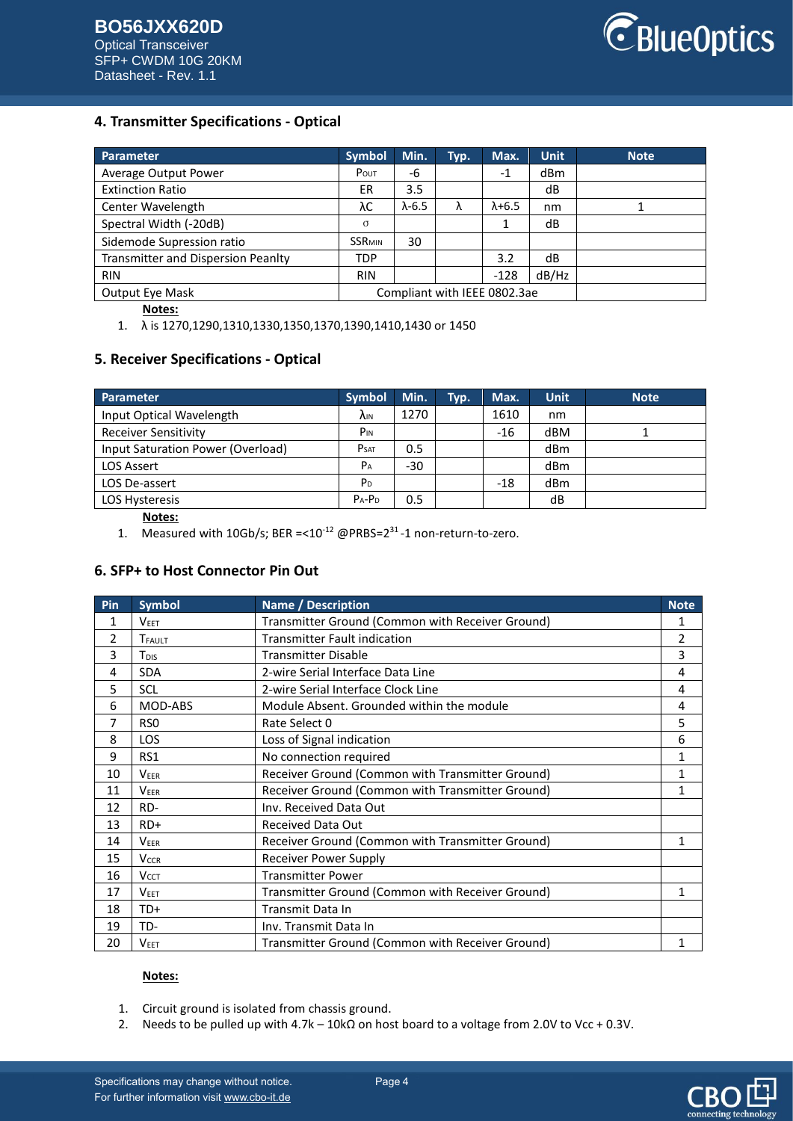

## **4. Transmitter Specifications - Optical**

| <b>Parameter</b>                   | <b>Symbol</b>                | Min.           | Typ. | Max.            | <b>Unit</b> | <b>Note</b> |
|------------------------------------|------------------------------|----------------|------|-----------------|-------------|-------------|
| Average Output Power               | POUT                         | -6             |      | -1              | dBm         |             |
| <b>Extinction Ratio</b>            | ER                           | 3.5            |      |                 | dB          |             |
| Center Wavelength                  | λC                           | $\lambda$ -6.5 | λ    | $\lambda + 6.5$ | nm          |             |
| Spectral Width (-20dB)             | σ                            |                |      |                 | dB          |             |
| Sidemode Supression ratio          | <b>SSRMIN</b>                | 30             |      |                 |             |             |
| Transmitter and Dispersion Peanlty | TDP                          |                |      | 3.2             | dB          |             |
| <b>RIN</b>                         | <b>RIN</b>                   |                |      | $-128$          | dB/Hz       |             |
| <b>Output Eye Mask</b>             | Compliant with IEEE 0802.3ae |                |      |                 |             |             |

**Notes:**

1. λ is 1270,1290,1310,1330,1350,1370,1390,1410,1430 or 1450

#### **5. Receiver Specifications - Optical**

| Parameter                         | <b>Symbol</b>    | Min. | Typ. | Max.  | <b>Unit</b> | <b>Note</b> |
|-----------------------------------|------------------|------|------|-------|-------------|-------------|
| Input Optical Wavelength          | ΛıΝ              | 1270 |      | 1610  | nm          |             |
| <b>Receiver Sensitivity</b>       | P <sub>IN</sub>  |      |      | $-16$ | dBM         |             |
| Input Saturation Power (Overload) | P <sub>SAT</sub> | 0.5  |      |       | dBm         |             |
| <b>LOS Assert</b>                 | $P_A$            | -30  |      |       | dBm         |             |
| LOS De-assert                     | P <sub>D</sub>   |      |      | $-18$ | dBm         |             |
| <b>LOS Hysteresis</b>             | $P_A - P_D$      | 0.5  |      |       | dB          |             |

**Notes:**

1. Measured with  $10Gb/s$ ; BER = < $10^{-12}$  @PRBS= $2^{31}$ -1 non-return-to-zero.

## **6. SFP+ to Host Connector Pin Out**

| Pin | <b>Symbol</b>          | <b>Name / Description</b>                        | <b>Note</b>  |
|-----|------------------------|--------------------------------------------------|--------------|
| 1   | V <sub>EET</sub>       | Transmitter Ground (Common with Receiver Ground) | 1            |
| 2   | TFAULT                 | <b>Transmitter Fault indication</b>              | 2            |
| 3   | T <sub>DIS</sub>       | <b>Transmitter Disable</b>                       | 3            |
| 4   | <b>SDA</b>             | 2-wire Serial Interface Data Line                | 4            |
| 5   | <b>SCL</b>             | 2-wire Serial Interface Clock Line               | 4            |
| 6   | MOD-ABS                | Module Absent. Grounded within the module        | 4            |
| 7   | RS <sub>0</sub>        | Rate Select 0                                    | 5            |
| 8   | <b>LOS</b>             | Loss of Signal indication                        | 6            |
| 9   | RS1                    | No connection required                           | $\mathbf{1}$ |
| 10  | <b>VEER</b>            | Receiver Ground (Common with Transmitter Ground) | 1            |
| 11  | <b>VEER</b>            | Receiver Ground (Common with Transmitter Ground) | 1            |
| 12  | RD-                    | Inv. Received Data Out                           |              |
| 13  | $RD+$                  | <b>Received Data Out</b>                         |              |
| 14  | <b>VEER</b>            | Receiver Ground (Common with Transmitter Ground) | 1            |
| 15  | <b>V<sub>CCR</sub></b> | <b>Receiver Power Supply</b>                     |              |
| 16  | <b>VCCT</b>            | <b>Transmitter Power</b>                         |              |
| 17  | <b>VEET</b>            | Transmitter Ground (Common with Receiver Ground) | 1            |
| 18  | TD+                    | Transmit Data In                                 |              |
| 19  | TD-                    | Inv. Transmit Data In                            |              |
| 20  | <b>VEET</b>            | Transmitter Ground (Common with Receiver Ground) | 1            |

#### **Notes:**

- 1. Circuit ground is isolated from chassis ground.
- 2. Needs to be pulled up with 4.7k 10kΩ on host board to a voltage from 2.0V to Vcc + 0.3V.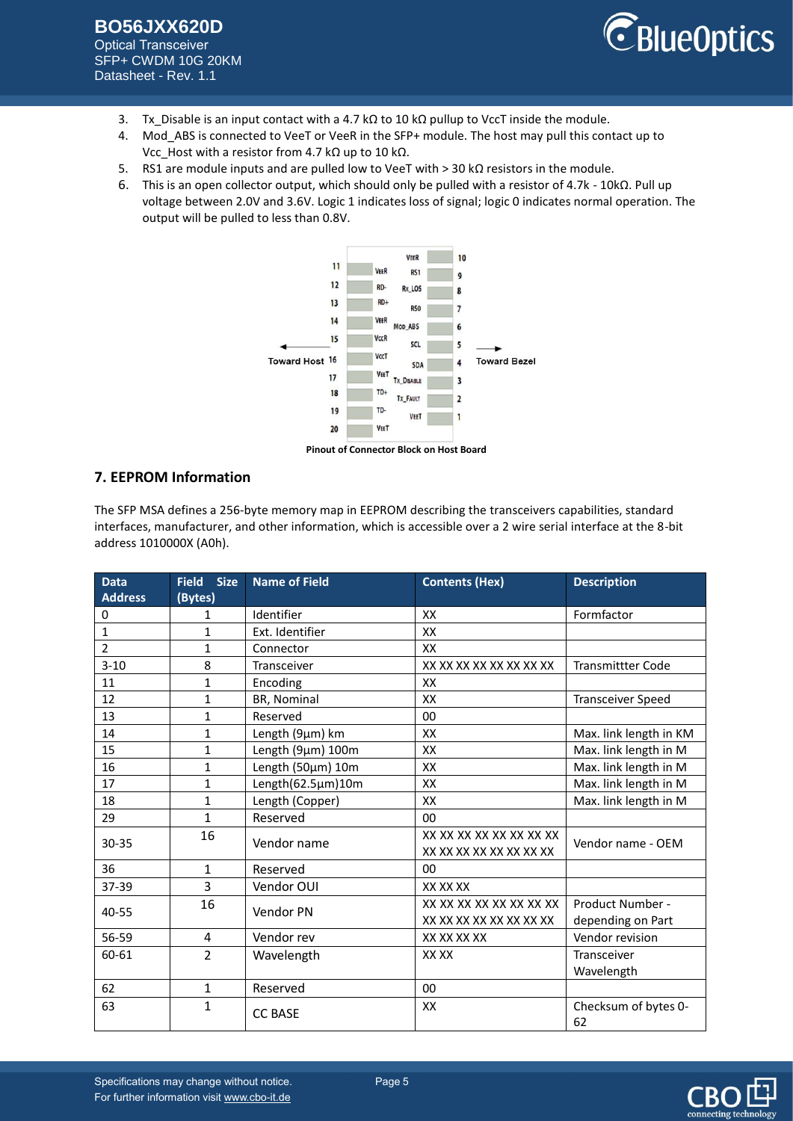

- 3. Tx Disable is an input contact with a 4.7 kΩ to 10 kΩ pullup to VccT inside the module.
- 4. Mod\_ABS is connected to VeeT or VeeR in the SFP+ module. The host may pull this contact up to Vcc\_Host with a resistor from 4.7 kΩ up to 10 kΩ.
- 5. RS1 are module inputs and are pulled low to VeeT with > 30 kΩ resistors in the module.
- 6. This is an open collector output, which should only be pulled with a resistor of 4.7k 10kΩ. Pull up voltage between 2.0V and 3.6V. Logic 1 indicates loss of signal; logic 0 indicates normal operation. The output will be pulled to less than 0.8V.



**Pinout of Connector Block on Host Board**

### **7. EEPROM Information**

The SFP MSA defines a 256-byte memory map in EEPROM describing the transceivers capabilities, standard interfaces, manufacturer, and other information, which is accessible over a 2 wire serial interface at the 8-bit address 1010000X (A0h).

| <b>Data</b>    | <b>Field</b><br><b>Size</b> | <b>Name of Field</b> | <b>Contents (Hex)</b>                              | <b>Description</b>                    |
|----------------|-----------------------------|----------------------|----------------------------------------------------|---------------------------------------|
| <b>Address</b> | (Bytes)                     |                      |                                                    |                                       |
| 0              | 1                           | Identifier           | XX                                                 | Formfactor                            |
| $\mathbf 1$    | $\mathbf{1}$                | Ext. Identifier      | XX                                                 |                                       |
| $\overline{2}$ | $\mathbf{1}$                | Connector            | XX                                                 |                                       |
| $3 - 10$       | 8                           | Transceiver          | XX XX XX XX XX XX XX XX                            | <b>Transmittter Code</b>              |
| 11             | $\mathbf{1}$                | Encoding             | XX                                                 |                                       |
| 12             | 1                           | BR, Nominal          | XX                                                 | <b>Transceiver Speed</b>              |
| 13             | $\mathbf{1}$                | Reserved             | 00                                                 |                                       |
| 14             | $\mathbf{1}$                | Length (9µm) km      | XX                                                 | Max. link length in KM                |
| 15             | $\mathbf{1}$                | Length (9µm) 100m    | XX                                                 | Max. link length in M                 |
| 16             | $\mathbf{1}$                | Length (50µm) 10m    | XX                                                 | Max. link length in M                 |
| 17             | $\mathbf{1}$                | Length(62.5µm)10m    | XX                                                 | Max. link length in M                 |
| 18             | $\mathbf{1}$                | Length (Copper)      | XX                                                 | Max. link length in M                 |
| 29             | $\mathbf{1}$                | Reserved             | 00                                                 |                                       |
| 30-35          | 16                          | Vendor name          | XX XX XX XX XX XX XX XX<br>XX XX XX XX XX XX XX XX | Vendor name - OEM                     |
| 36             | $\mathbf{1}$                | Reserved             | 00                                                 |                                       |
| 37-39          | 3                           | Vendor OUI           | XX XX XX                                           |                                       |
| 40-55          | 16                          | Vendor PN            | XX XX XX XX XX XX XX XX<br>XX XX XX XX XX XX XX XX | Product Number -<br>depending on Part |
| 56-59          | $\overline{4}$              | Vendor rev           | XX XX XX XX                                        | Vendor revision                       |
| 60-61          | $\overline{2}$              | Wavelength           | XX XX                                              | Transceiver                           |
|                |                             |                      |                                                    | Wavelength                            |
| 62             | $\mathbf{1}$                | Reserved             | 00                                                 |                                       |
| 63             | $\mathbf{1}$                | <b>CC BASE</b>       | XX                                                 | Checksum of bytes 0-<br>62            |

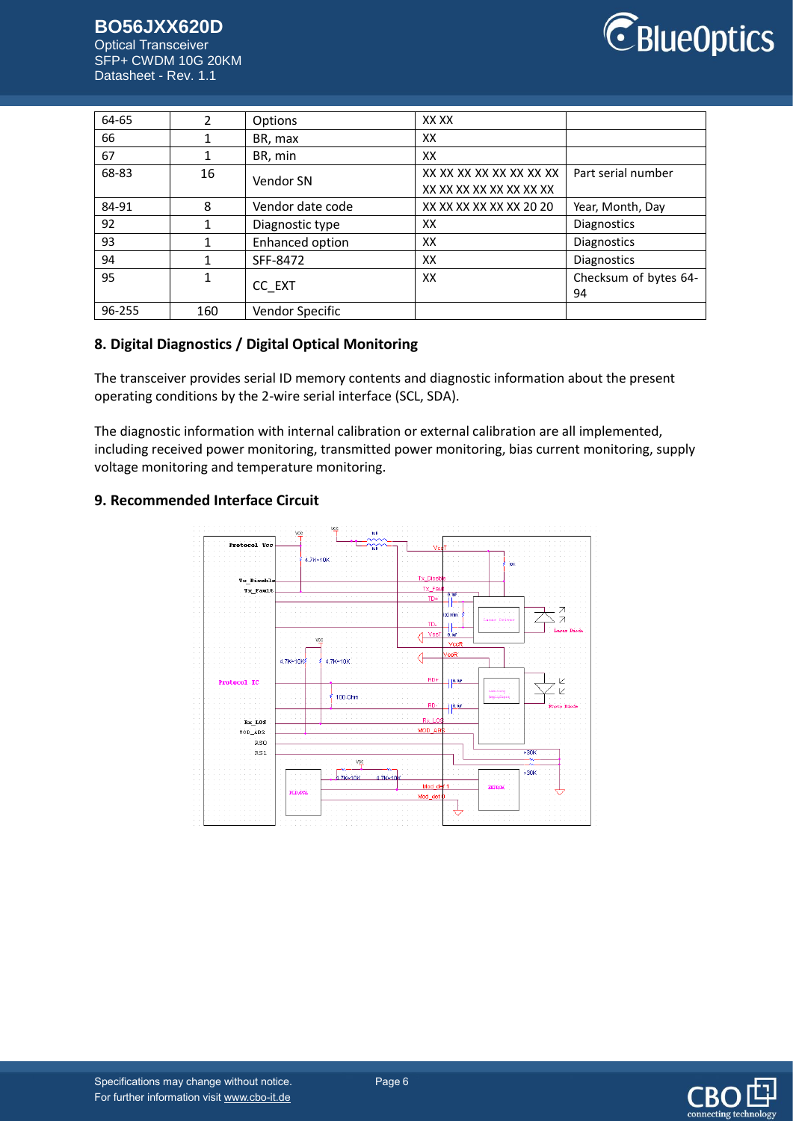Optical Transceiver SFP+ CWDM 10G 20KM Datasheet - Rev. 1.1



| 64-65  | $\mathcal{P}$ | Options          | XX XX                   |                       |
|--------|---------------|------------------|-------------------------|-----------------------|
| 66     |               | BR, max          | XX                      |                       |
| 67     |               | BR, min          | XX                      |                       |
| 68-83  | 16            | Vendor SN        | XX XX XX XX XX XX XX XX | Part serial number    |
|        |               |                  | XX XX XX XX XX XX XX XX |                       |
| 84-91  | 8             | Vendor date code | XX XX XX XX XX XX 20 20 | Year, Month, Day      |
| 92     |               | Diagnostic type  | XX                      | <b>Diagnostics</b>    |
| 93     |               | Enhanced option  | XX                      | Diagnostics           |
| 94     |               | SFF-8472         | XX                      | Diagnostics           |
| 95     |               | CC EXT           | XX                      | Checksum of bytes 64- |
|        |               |                  |                         | 94                    |
| 96-255 | 160           | Vendor Specific  |                         |                       |

## **8. Digital Diagnostics / Digital Optical Monitoring**

The transceiver provides serial ID memory contents and diagnostic information about the present operating conditions by the 2-wire serial interface (SCL, SDA).

The diagnostic information with internal calibration or external calibration are all implemented, including received power monitoring, transmitted power monitoring, bias current monitoring, supply voltage monitoring and temperature monitoring.

## **9. Recommended Interface Circuit**